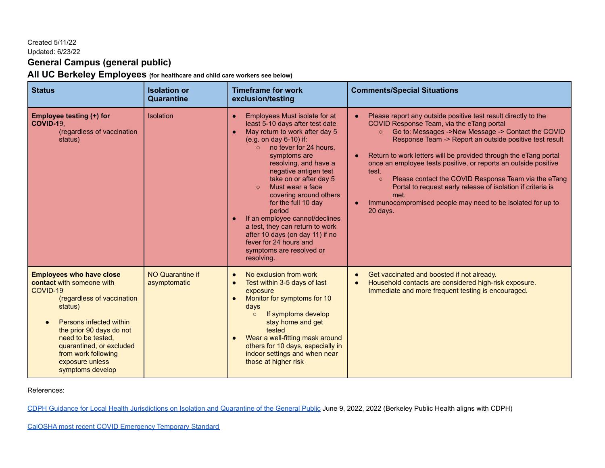# Created 5/11/22

### Updated: 6/23/22

# **General Campus (general public)**

**All UC Berkeley Employees (for healthcare and child care workers see below)**

| <b>Status</b>                                                                                                                                                                                                                                                                            | <b>Isolation or</b><br>Quarantine       | <b>Timeframe for work</b><br>exclusion/testing                                                                                                                                                                                                                                                                                                                                                                                                                                                                                                                   | <b>Comments/Special Situations</b>                                                                                                                                                                                                                                                                                                                                                                                                                                                                                                                                                                                                    |
|------------------------------------------------------------------------------------------------------------------------------------------------------------------------------------------------------------------------------------------------------------------------------------------|-----------------------------------------|------------------------------------------------------------------------------------------------------------------------------------------------------------------------------------------------------------------------------------------------------------------------------------------------------------------------------------------------------------------------------------------------------------------------------------------------------------------------------------------------------------------------------------------------------------------|---------------------------------------------------------------------------------------------------------------------------------------------------------------------------------------------------------------------------------------------------------------------------------------------------------------------------------------------------------------------------------------------------------------------------------------------------------------------------------------------------------------------------------------------------------------------------------------------------------------------------------------|
| Employee testing (+) for<br><b>COVID-19,</b><br>(regardless of vaccination<br>status)                                                                                                                                                                                                    | Isolation                               | Employees Must isolate for at<br>$\bullet$<br>least 5-10 days after test date<br>May return to work after day 5<br>$\bullet$<br>(e.g. on day 6-10) if:<br>no fever for 24 hours.<br>symptoms are<br>resolving, and have a<br>negative antigen test<br>take on or after day 5<br>Must wear a face<br>$\Omega$<br>covering around others<br>for the full 10 day<br>period<br>If an employee cannot/declines<br>$\bullet$<br>a test, they can return to work<br>after 10 days (on day 11) if no<br>fever for 24 hours and<br>symptoms are resolved or<br>resolving. | Please report any outside positive test result directly to the<br>COVID Response Team, via the eTang portal<br>Go to: Messages ->New Message -> Contact the COVID<br>$\circ$<br>Response Team -> Report an outside positive test result<br>Return to work letters will be provided through the eTang portal<br>$\bullet$<br>once an employee tests positive, or reports an outside positive<br>test.<br>Please contact the COVID Response Team via the eTang<br>$\circ$<br>Portal to request early release of isolation if criteria is<br>met.<br>Immunocompromised people may need to be isolated for up to<br>$\bullet$<br>20 days. |
| <b>Employees who have close</b><br>contact with someone with<br>COVID-19<br>(regardless of vaccination<br>status)<br>Persons infected within<br>the prior 90 days do not<br>need to be tested,<br>quarantined, or excluded<br>from work following<br>exposure unless<br>symptoms develop | <b>NO Quarantine if</b><br>asymptomatic | No exclusion from work<br>$\bullet$<br>Test within 3-5 days of last<br>$\bullet$<br>exposure<br>Monitor for symptoms for 10<br>$\bullet$<br>days<br>If symptoms develop<br>$\circ$<br>stay home and get<br>tested<br>Wear a well-fitting mask around<br>$\bullet$<br>others for 10 days, especially in<br>indoor settings and when near<br>those at higher risk                                                                                                                                                                                                  | Get vaccinated and boosted if not already.<br>$\bullet$<br>Household contacts are considered high-risk exposure.<br>Immediate and more frequent testing is encouraged.                                                                                                                                                                                                                                                                                                                                                                                                                                                                |

### References:

[CDPH Guidance for Local Health Jurisdictions on Isolation and Quarantine of the General Public](https://www.cdph.ca.gov/Programs/CID/DCDC/Pages/COVID-19/Guidance-on-Isolation-and-Quarantine-for-COVID-19-Contact-Tracing.aspx) June 9, 2022, 2022 (Berkeley Public Health aligns with CDPH)